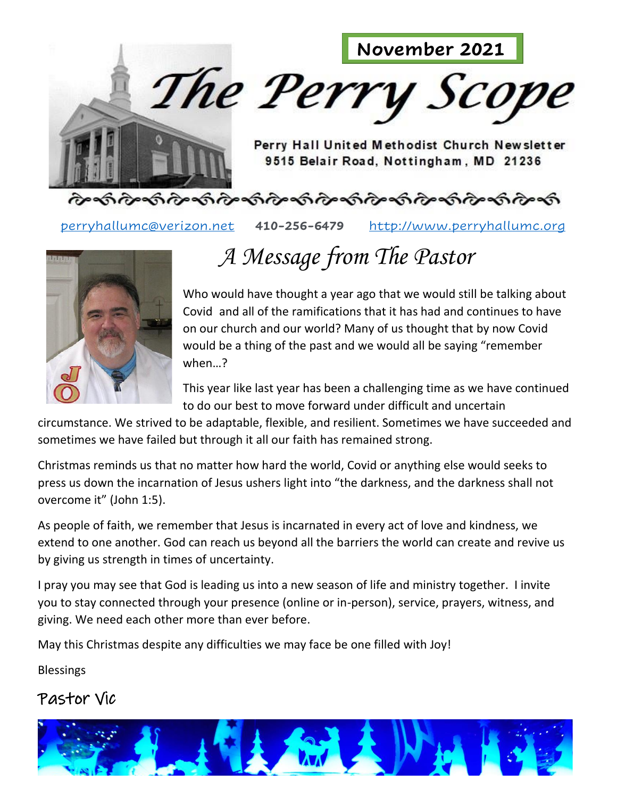

[perryhallumc@verizon.net](mailto:perryhallumc@verizon.net) **410-256-6479** [http://www.perryhallumc.org](http://www.perryhallumc.org/)



## *A Message from The Pastor*

Who would have thought a year ago that we would still be talking about Covid and all of the ramifications that it has had and continues to have on our church and our world? Many of us thought that by now Covid would be a thing of the past and we would all be saying "remember when…?

This year like last year has been a challenging time as we have continued to do our best to move forward under difficult and uncertain

circumstance. We strived to be adaptable, flexible, and resilient. Sometimes we have succeeded and sometimes we have failed but through it all our faith has remained strong.

Christmas reminds us that no matter how hard the world, Covid or anything else would seeks to press us down the incarnation of Jesus ushers light into "the darkness, and the darkness shall not overcome it" (John 1:5).

As people of faith, we remember that Jesus is incarnated in every act of love and kindness, we extend to one another. God can reach us beyond all the barriers the world can create and revive us by giving us strength in times of uncertainty.

I pray you may see that God is leading us into a new season of life and ministry together. I invite you to stay connected through your presence (online or in-person), service, prayers, witness, and giving. We need each other more than ever before.

May this Christmas despite any difficulties we may face be one filled with Joy!

Blessings

#### Pastor Vic

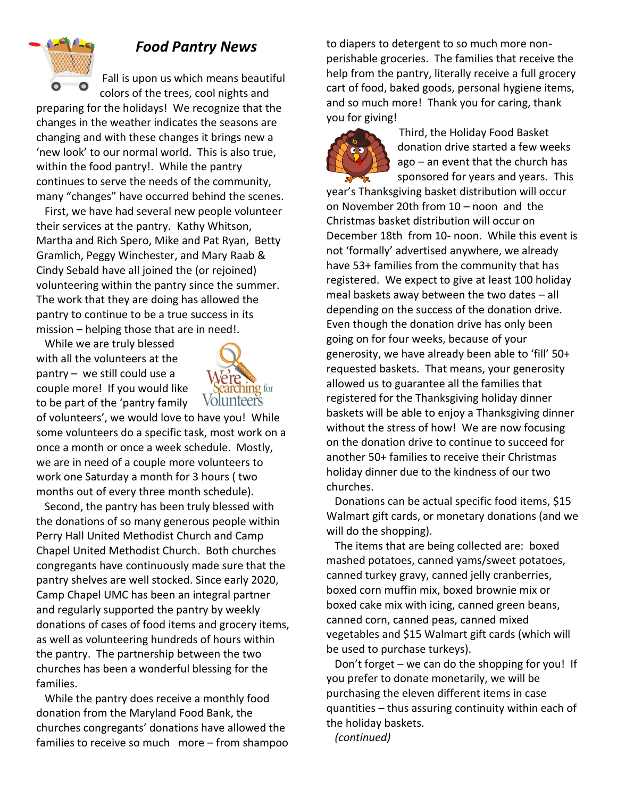

#### *Food Pantry News*

Fall is upon us which means beautiful colors of the trees, cool nights and

preparing for the holidays! We recognize that the changes in the weather indicates the seasons are changing and with these changes it brings new a 'new look' to our normal world. This is also true, within the food pantry!. While the pantry continues to serve the needs of the community, many "changes" have occurred behind the scenes.

 First, we have had several new people volunteer their services at the pantry. Kathy Whitson, Martha and Rich Spero, Mike and Pat Ryan, Betty Gramlich, Peggy Winchester, and Mary Raab & Cindy Sebald have all joined the (or rejoined) volunteering within the pantry since the summer. The work that they are doing has allowed the pantry to continue to be a true success in its mission – helping those that are in need!.

 While we are truly blessed with all the volunteers at the pantry – we still could use a couple more! If you would like to be part of the 'pantry family



of volunteers', we would love to have you! While some volunteers do a specific task, most work on a once a month or once a week schedule. Mostly, we are in need of a couple more volunteers to work one Saturday a month for 3 hours ( two months out of every three month schedule).

 Second, the pantry has been truly blessed with the donations of so many generous people within Perry Hall United Methodist Church and Camp Chapel United Methodist Church. Both churches congregants have continuously made sure that the pantry shelves are well stocked. Since early 2020, Camp Chapel UMC has been an integral partner and regularly supported the pantry by weekly donations of cases of food items and grocery items, as well as volunteering hundreds of hours within the pantry. The partnership between the two churches has been a wonderful blessing for the families.

 While the pantry does receive a monthly food donation from the Maryland Food Bank, the churches congregants' donations have allowed the families to receive so much more – from shampoo to diapers to detergent to so much more nonperishable groceries. The families that receive the help from the pantry, literally receive a full grocery cart of food, baked goods, personal hygiene items, and so much more! Thank you for caring, thank you for giving!



 Third, the Holiday Food Basket donation drive started a few weeks ago – an event that the church has sponsored for years and years. This

year's Thanksgiving basket distribution will occur on November 20th from 10 – noon and the Christmas basket distribution will occur on December 18th from 10- noon. While this event is not 'formally' advertised anywhere, we already have 53+ families from the community that has registered. We expect to give at least 100 holiday meal baskets away between the two dates – all depending on the success of the donation drive. Even though the donation drive has only been going on for four weeks, because of your generosity, we have already been able to 'fill' 50+ requested baskets. That means, your generosity allowed us to guarantee all the families that registered for the Thanksgiving holiday dinner baskets will be able to enjoy a Thanksgiving dinner without the stress of how! We are now focusing on the donation drive to continue to succeed for another 50+ families to receive their Christmas holiday dinner due to the kindness of our two churches.

 Donations can be actual specific food items, \$15 Walmart gift cards, or monetary donations (and we will do the shopping).

 The items that are being collected are: boxed mashed potatoes, canned yams/sweet potatoes, canned turkey gravy, canned jelly cranberries, boxed corn muffin mix, boxed brownie mix or boxed cake mix with icing, canned green beans, canned corn, canned peas, canned mixed vegetables and \$15 Walmart gift cards (which will be used to purchase turkeys).

 Don't forget – we can do the shopping for you! If you prefer to donate monetarily, we will be purchasing the eleven different items in case quantities – thus assuring continuity within each of the holiday baskets.

 *(continued)*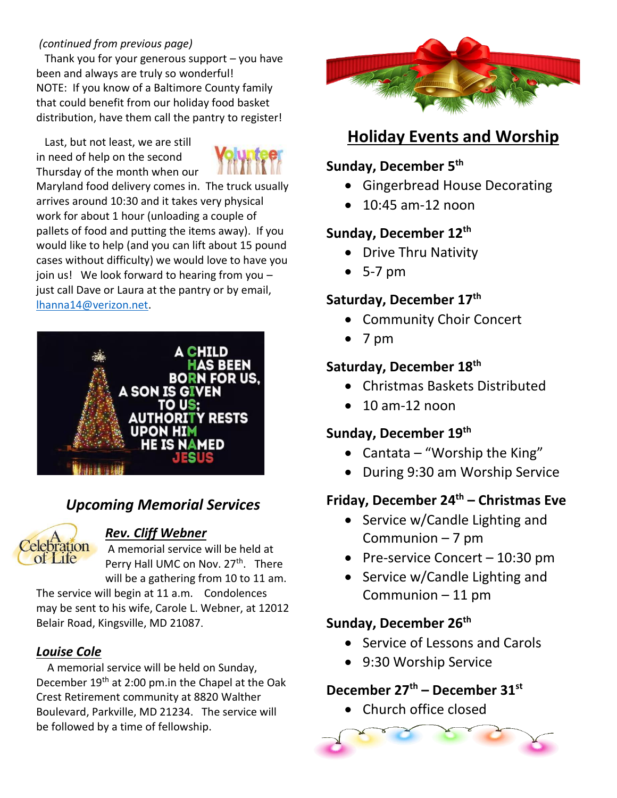#### *(continued from previous page)*

Thank you for your generous support  $-$  you have been and always are truly so wonderful! NOTE: If you know of a Baltimore County family that could benefit from our holiday food basket distribution, have them call the pantry to register!

 Last, but not least, we are still in need of help on the second Thursday of the month when our



Maryland food delivery comes in. The truck usually arrives around 10:30 and it takes very physical work for about 1 hour (unloading a couple of pallets of food and putting the items away). If you would like to help (and you can lift about 15 pound cases without difficulty) we would love to have you join us! We look forward to hearing from you – just call Dave or Laura at the pantry or by email, [lhanna14@verizon.net.](mailto:lhanna14@verizon.net)



#### *Upcoming Memorial Services*



#### *Rev. Cliff Webner*

A memorial service will be held at Perry Hall UMC on Nov. 27<sup>th</sup>. There will be a gathering from 10 to 11 am.

The service will begin at 11 a.m. Condolences may be sent to his wife, Carole L. Webner, at 12012 Belair Road, Kingsville, MD 21087.

#### *Louise Cole*

 A memorial service will be held on Sunday, December 19th at 2:00 pm.in the Chapel at the Oak Crest Retirement community at 8820 Walther Boulevard, Parkville, MD 21234. The service will be followed by a time of fellowship.



#### **Holiday Events and Worship**

#### **Sunday, December 5th**

- Gingerbread House Decorating
- 10:45 am-12 noon

#### **Sunday, December 12th**

- Drive Thru Nativity
- 5-7 pm

#### **Saturday, December 17th**

- Community Choir Concert
- 7 pm

#### **Saturday, December 18th**

- Christmas Baskets Distributed
- $\bullet$  10 am-12 noon

#### **Sunday, December 19th**

- Cantata "Worship the King"
- During 9:30 am Worship Service

#### **Friday, December 24th – Christmas Eve**

- Service w/Candle Lighting and Communion – 7 pm
- Pre-service Concert 10:30 pm
- Service w/Candle Lighting and Communion – 11 pm

#### **Sunday, December 26th**

- Service of Lessons and Carols
- 9:30 Worship Service

#### **December 27th – December 31st**

• Church office closed

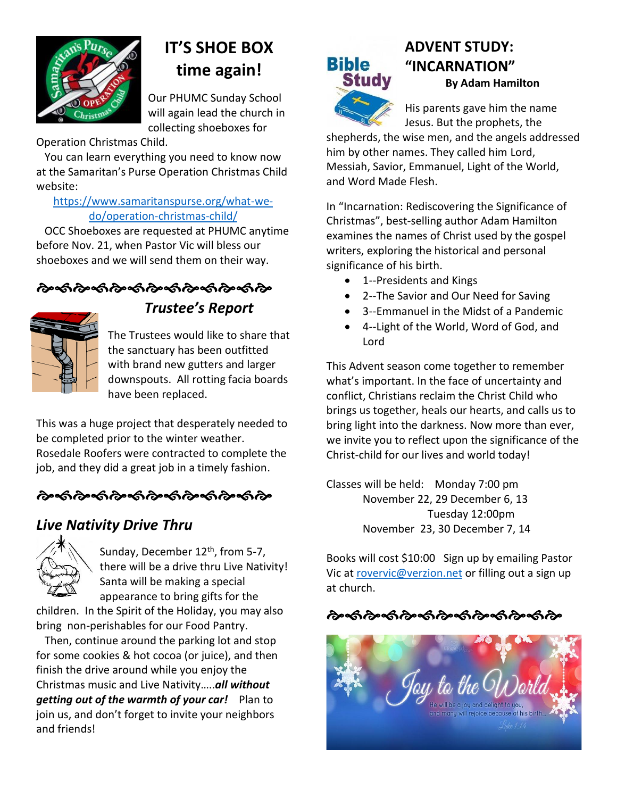

### **IT'S SHOE BOX time again!**

Our PHUMC Sunday School will again lead the church in collecting shoeboxes for

Operation Christmas Child.

 You can learn everything you need to know now at the Samaritan's Purse Operation Christmas Child website:

#### [https://www.samaritanspurse.org/what-we](https://www.samaritanspurse.org/what-we-do/operation-christmas-child/)[do/operation-christmas-child/](https://www.samaritanspurse.org/what-we-do/operation-christmas-child/)

 OCC Shoeboxes are requested at PHUMC anytime before Nov. 21, when Pastor Vic will bless our shoeboxes and we will send them on their way.

#### ৻৵৽ৼ৽ড়৸ড়৸৻৸ড়৸ড়৸ড়৸ড়



#### *Trustee's Report*

The Trustees would like to share that the sanctuary has been outfitted with brand new gutters and larger downspouts. All rotting facia boards have been replaced.

This was a huge project that desperately needed to be completed prior to the winter weather. Rosedale Roofers were contracted to complete the job, and they did a great job in a timely fashion.

#### ઌૺૡ૽૽૽ૺઌઌ૽ઌૹ૽ઌ૿ૡૻૡૻૡઌઌઌ

#### *Live Nativity Drive Thru*



Sunday, December 12<sup>th</sup>, from 5-7, there will be a drive thru Live Nativity! Santa will be making a special appearance to bring gifts for the

children. In the Spirit of the Holiday, you may also bring non-perishables for our Food Pantry.

 Then, continue around the parking lot and stop for some cookies & hot cocoa (or juice), and then finish the drive around while you enjoy the Christmas music and Live Nativity…..*all without getting out of the warmth of your car!* Plan to join us, and don't forget to invite your neighbors and friends!

# **Bible Study**

#### **ADVENT STUDY: "INCARNATION" By Adam Hamilton**



His parents gave him the name Jesus. But the prophets, the

shepherds, the wise men, and the angels addressed him by other names. They called him Lord, Messiah, Savior, Emmanuel, Light of the World, and Word Made Flesh.

In "Incarnation: Rediscovering the Significance of Christmas", best-selling author Adam Hamilton examines the names of Christ used by the gospel writers, exploring the historical and personal significance of his birth.

- 1--Presidents and Kings
- 2--The Savior and Our Need for Saving
- 3--Emmanuel in the Midst of a Pandemic
- 4--Light of the World, Word of God, and Lord

This Advent season come together to remember what's important. In the face of uncertainty and conflict, Christians reclaim the Christ Child who brings us together, heals our hearts, and calls us to bring light into the darkness. Now more than ever, we invite you to reflect upon the significance of the Christ-child for our lives and world today!

Classes will be held: Monday 7:00 pm November 22, 29 December 6, 13 Tuesday 12:00pm November 23, 30 December 7, 14

Books will cost \$10:00 Sign up by emailing Pastor Vic at [rovervic@verzion.net](mailto:rovervic@verzion.net) or filling out a sign up at church.

#### 

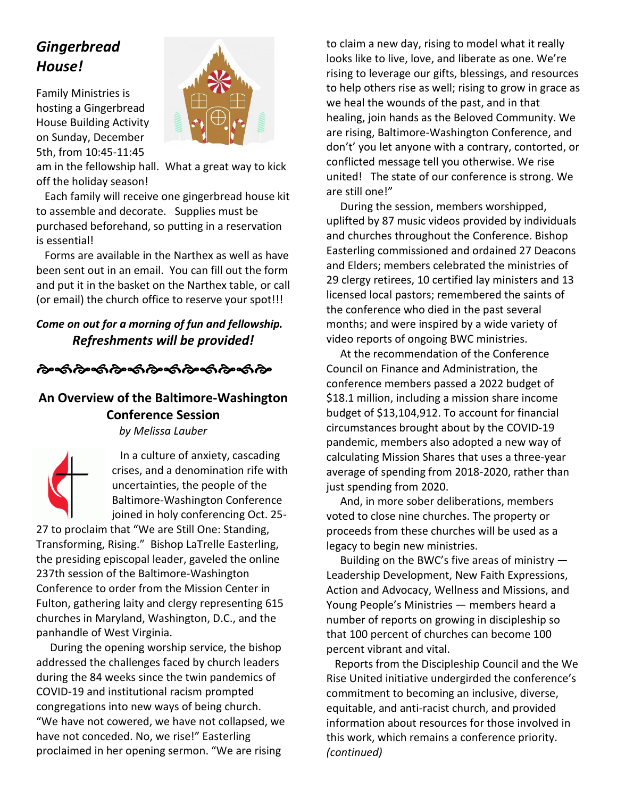#### *Gingerbread House!*

Family Ministries is hosting a Gingerbread House Building Activity on Sunday, December 5th, from 10:45-11:45



am in the fellowship hall. What a great way to kick off the holiday season!

 Each family will receive one gingerbread house kit to assemble and decorate. Supplies must be purchased beforehand, so putting in a reservation is essential!

 Forms are available in the Narthex as well as have been sent out in an email. You can fill out the form and put it in the basket on the Narthex table, or call (or email) the church office to reserve your spot!!!

#### *Come on out for a morning of fun and fellowship. Refreshments will be provided!*

<u> તેમ્</u>જી તેમ્જી તેમ્જી તેમ્જી તેમ્જી તેમ

**An Overview of the Baltimore-Washington Conference Session**

*by Melissa Lauber*

 In a culture of anxiety, cascading crises, and a denomination rife with uncertainties, the people of the Baltimore-Washington Conference joined in holy conferencing Oct. 25-

27 to proclaim that "We are Still One: Standing, Transforming, Rising." Bishop LaTrelle Easterling, the presiding episcopal leader, gaveled the online 237th session of the Baltimore-Washington Conference to order from the Mission Center in Fulton, gathering laity and clergy representing 615 churches in Maryland, Washington, D.C., and the panhandle of West Virginia.

 During the opening worship service, the bishop addressed the challenges faced by church leaders during the 84 weeks since the twin pandemics of COVID-19 and institutional racism prompted congregations into new ways of being church. "We have not cowered, we have not collapsed, we have not conceded. No, we rise!" Easterling proclaimed in her opening sermon. "We are rising

to claim a new day, rising to model what it really looks like to live, love, and liberate as one. We're rising to leverage our gifts, blessings, and resources to help others rise as well; rising to grow in grace as we heal the wounds of the past, and in that healing, join hands as the Beloved Community. We are rising, Baltimore-Washington Conference, and don't' you let anyone with a contrary, contorted, or conflicted message tell you otherwise. We rise united! The state of our conference is strong. We are still one!"

 During the session, members worshipped, uplifted by 87 music videos provided by individuals and churches throughout the Conference. Bishop Easterling commissioned and ordained 27 Deacons and Elders; members celebrated the ministries of 29 clergy retirees, 10 certified lay ministers and 13 licensed local pastors; remembered the saints of the conference who died in the past several months; and were inspired by a wide variety of video reports of ongoing BWC ministries.

 At the recommendation of the Conference Council on Finance and Administration, the conference members passed a 2022 budget of \$18.1 million, including a mission share income budget of \$13,104,912. To account for financial circumstances brought about by the COVID-19 pandemic, members also adopted a new way of calculating Mission Shares that uses a three-year average of spending from 2018-2020, rather than just spending from 2020.

 And, in more sober deliberations, members voted to close nine churches. The property or proceeds from these churches will be used as a legacy to begin new ministries.

Building on the BWC's five areas of ministry  $-$ Leadership Development, New Faith Expressions, Action and Advocacy, Wellness and Missions, and Young People's Ministries — members heard a number of reports on growing in discipleship so that 100 percent of churches can become 100 percent vibrant and vital.

 Reports from the Discipleship Council and the We Rise United initiative undergirded the conference's commitment to becoming an inclusive, diverse, equitable, and anti-racist church, and provided information about resources for those involved in this work, which remains a conference priority. *(continued)*